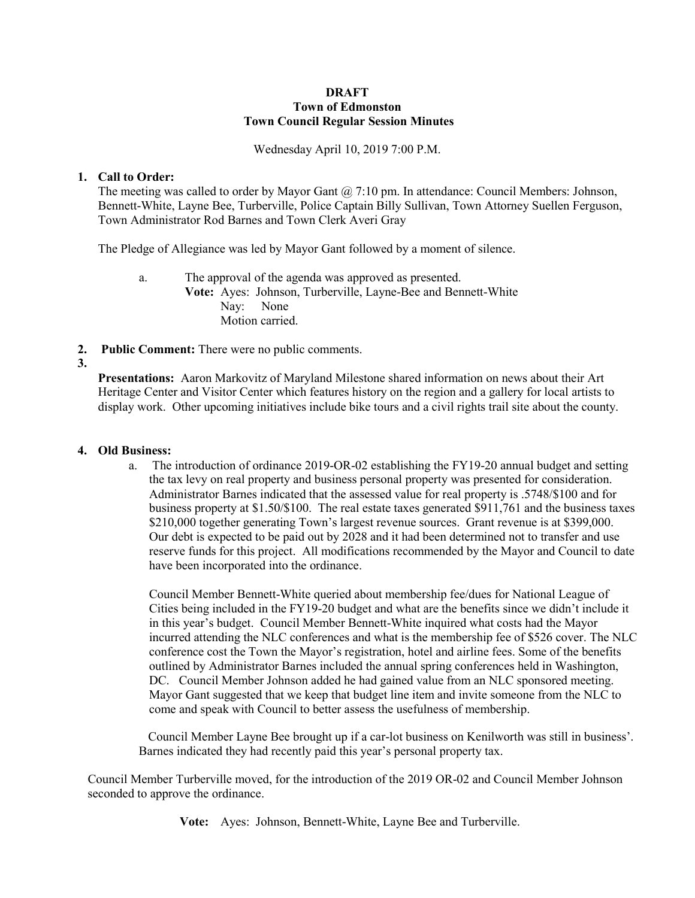#### **DRAFT Town of Edmonston Town Council Regular Session Minutes**

Wednesday April 10, 2019 7:00 P.M.

# **1. Call to Order:**

The meeting was called to order by Mayor Gant  $\omega$  7:10 pm. In attendance: Council Members: Johnson, Bennett-White, Layne Bee, Turberville, Police Captain Billy Sullivan, Town Attorney Suellen Ferguson, Town Administrator Rod Barnes and Town Clerk Averi Gray

The Pledge of Allegiance was led by Mayor Gant followed by a moment of silence.

a. The approval of the agenda was approved as presented. **Vote:** Ayes: Johnson, Turberville, Layne-Bee and Bennett-White Nay: None Motion carried.

**2. Public Comment:** There were no public comments.

# **3.**

**Presentations:** Aaron Markovitz of Maryland Milestone shared information on news about their Art Heritage Center and Visitor Center which features history on the region and a gallery for local artists to display work. Other upcoming initiatives include bike tours and a civil rights trail site about the county.

## **4. Old Business:**

a. The introduction of ordinance 2019-OR-02 establishing the FY19-20 annual budget and setting the tax levy on real property and business personal property was presented for consideration. Administrator Barnes indicated that the assessed value for real property is .5748/\$100 and for business property at \$1.50/\$100. The real estate taxes generated \$911,761 and the business taxes \$210,000 together generating Town's largest revenue sources. Grant revenue is at \$399,000. Our debt is expected to be paid out by 2028 and it had been determined not to transfer and use reserve funds for this project. All modifications recommended by the Mayor and Council to date have been incorporated into the ordinance.

Council Member Bennett-White queried about membership fee/dues for National League of Cities being included in the FY19-20 budget and what are the benefits since we didn't include it in this year's budget. Council Member Bennett-White inquired what costs had the Mayor incurred attending the NLC conferences and what is the membership fee of \$526 cover. The NLC conference cost the Town the Mayor's registration, hotel and airline fees. Some of the benefits outlined by Administrator Barnes included the annual spring conferences held in Washington, DC. Council Member Johnson added he had gained value from an NLC sponsored meeting. Mayor Gant suggested that we keep that budget line item and invite someone from the NLC to come and speak with Council to better assess the usefulness of membership.

 Council Member Layne Bee brought up if a car-lot business on Kenilworth was still in business'. Barnes indicated they had recently paid this year's personal property tax.

Council Member Turberville moved, for the introduction of the 2019 OR-02 and Council Member Johnson seconded to approve the ordinance.

**Vote:** Ayes: Johnson, Bennett-White, Layne Bee and Turberville.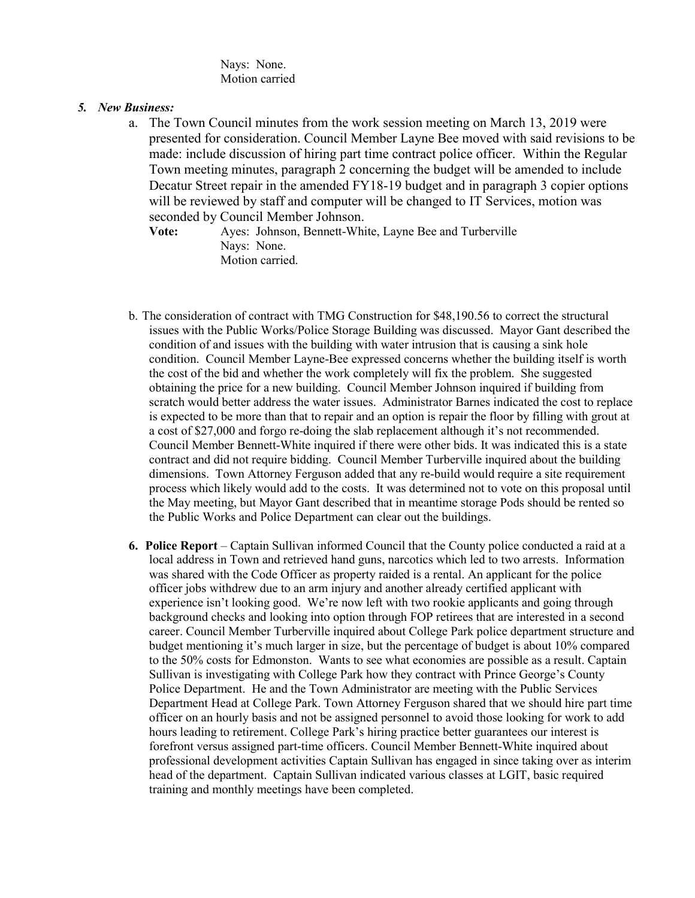Nays: None. Motion carried

# *5. New Business:*

a. The Town Council minutes from the work session meeting on March 13, 2019 were presented for consideration. Council Member Layne Bee moved with said revisions to be made: include discussion of hiring part time contract police officer. Within the Regular Town meeting minutes, paragraph 2 concerning the budget will be amended to include Decatur Street repair in the amended FY18-19 budget and in paragraph 3 copier options will be reviewed by staff and computer will be changed to IT Services, motion was seconded by Council Member Johnson.

**Vote:** Ayes: Johnson, Bennett-White, Layne Bee and Turberville Nays: None. Motion carried.

- b. The consideration of contract with TMG Construction for \$48,190.56 to correct the structural issues with the Public Works/Police Storage Building was discussed. Mayor Gant described the condition of and issues with the building with water intrusion that is causing a sink hole condition. Council Member Layne-Bee expressed concerns whether the building itself is worth the cost of the bid and whether the work completely will fix the problem. She suggested obtaining the price for a new building. Council Member Johnson inquired if building from scratch would better address the water issues. Administrator Barnes indicated the cost to replace is expected to be more than that to repair and an option is repair the floor by filling with grout at a cost of \$27,000 and forgo re-doing the slab replacement although it's not recommended. Council Member Bennett-White inquired if there were other bids. It was indicated this is a state contract and did not require bidding. Council Member Turberville inquired about the building dimensions. Town Attorney Ferguson added that any re-build would require a site requirement process which likely would add to the costs. It was determined not to vote on this proposal until the May meeting, but Mayor Gant described that in meantime storage Pods should be rented so the Public Works and Police Department can clear out the buildings.
- **6. Police Report** Captain Sullivan informed Council that the County police conducted a raid at a local address in Town and retrieved hand guns, narcotics which led to two arrests. Information was shared with the Code Officer as property raided is a rental. An applicant for the police officer jobs withdrew due to an arm injury and another already certified applicant with experience isn't looking good. We're now left with two rookie applicants and going through background checks and looking into option through FOP retirees that are interested in a second career. Council Member Turberville inquired about College Park police department structure and budget mentioning it's much larger in size, but the percentage of budget is about 10% compared to the 50% costs for Edmonston. Wants to see what economies are possible as a result. Captain Sullivan is investigating with College Park how they contract with Prince George's County Police Department. He and the Town Administrator are meeting with the Public Services Department Head at College Park. Town Attorney Ferguson shared that we should hire part time officer on an hourly basis and not be assigned personnel to avoid those looking for work to add hours leading to retirement. College Park's hiring practice better guarantees our interest is forefront versus assigned part-time officers. Council Member Bennett-White inquired about professional development activities Captain Sullivan has engaged in since taking over as interim head of the department. Captain Sullivan indicated various classes at LGIT, basic required training and monthly meetings have been completed.